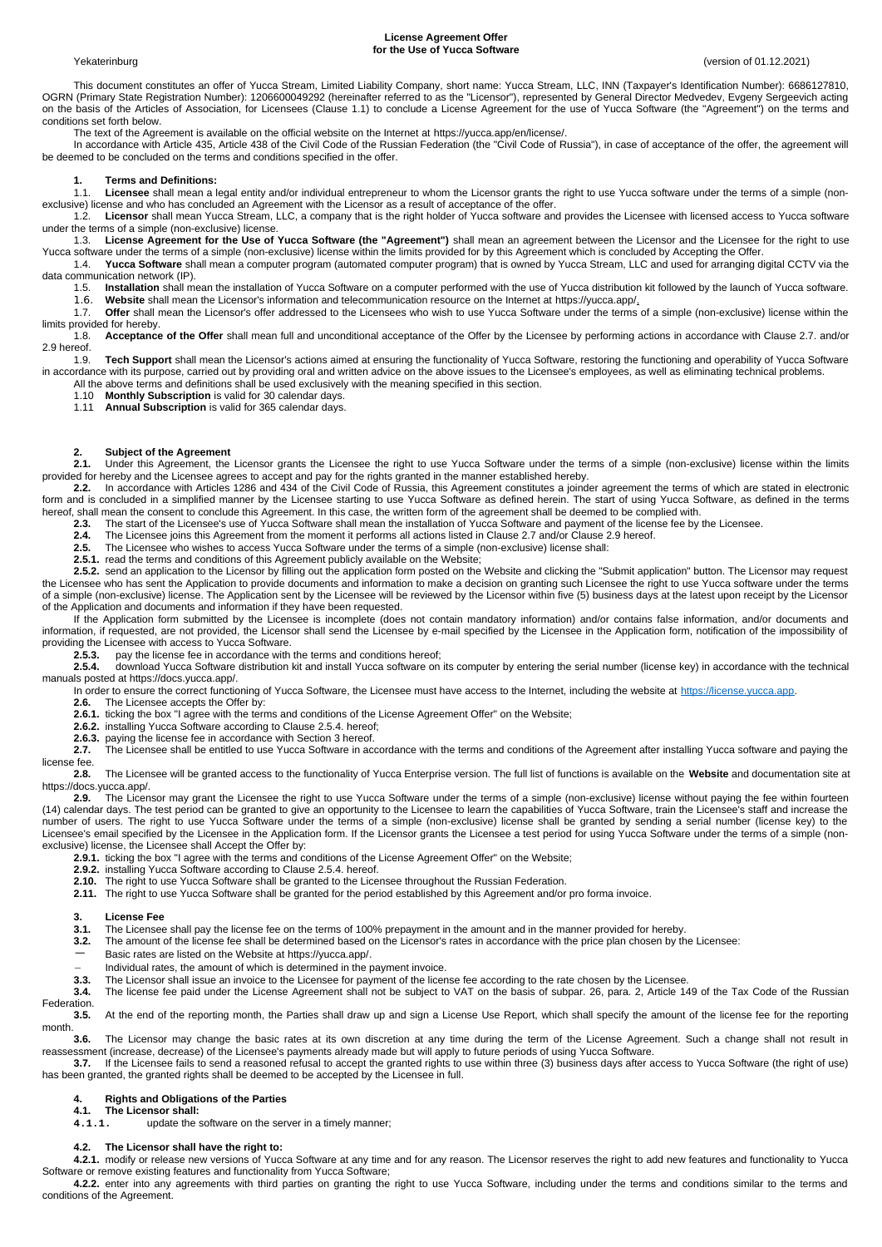#### **License Agreement Offer for the Use of Yucca Software**

Yekaterinburg (version of 01.12.2021)

This document constitutes an offer of Yucca Stream, Limited Liability Company, short name: Yucca Stream, LLC, INN (Taxpayer's Identification Number): 6686127810, OGRN (Primary State Registration Number): 1206600049292 (hereinafter referred to as the "Licensor"), represented by General Director Medvedev, Evgeny Sergeevich acting on the basis of the Articles of Association, for Licensees (Clause 1.1) to conclude a License Agreement for the use of Yucca Software (the "Agreement") on the terms and conditions set forth below.

The text of the Agreement is available on the official website on the Internet at https://yucca.app/en/license/.

In accordance with Article 435, Article 438 of the Civil Code of the Russian Federation (the "Civil Code of Russia"), in case of acceptance of the offer, the agreement will be deemed to be concluded on the terms and conditions specified in the offer.

#### **1. Terms and Definitions:**

1.1. **Licensee** shall mean a legal entity and/or individual entrepreneur to whom the Licensor grants the right to use Yucca software under the terms of a simple (non-

exclusive) license and who has concluded an Agreement with the Licensor as a result of acceptance of the offer.<br>12 **Licensor** shall mean Yucca Stream LLC, a company that is the right holder of Yucca software an Licensor shall mean Yucca Stream, LLC, a company that is the right holder of Yucca software and provides the Licensee with licensed access to Yucca software under the terms of a simple (non-exclusive) license.

1.3. **License Agreement for the Use of Yucca Software (the "Agreement")** shall mean an agreement between the Licensor and the Licensee for the right to use Yucca software under the terms of a simple (non-exclusive) license within the limits provided for by this Agreement which is concluded by Accepting the Offer.<br>14 Yucca Software shall mean a computer program (automated comp

1.4. **Yucca Software** shall mean a computer program (automated computer program) that is owned by Yucca Stream, LLC and used for arranging digital CCTV via the data communication network (IP).

1.5. **Installation** shall mean the installation of Yucca Software on a computer performed with the use of Yucca distribution kit followed by the launch of Yucca software.<br>1.6. Website shall mean the Licensor's information 1.6. **Website** shall mean the Licensor's information and telecommunication resource on the Internet at https://yucca.app/.

1.7. **Offer** shall mean the Licensor's offer addressed to the Licensees who wish to use Yucca Software under the terms of a simple (non-exclusive) license within the

limits provided for hereby.<br>1.8. **Acceptance** Acceptance of the Offer shall mean full and unconditional acceptance of the Offer by the Licensee by performing actions in accordance with Clause 2.7. and/or 2.9 hereof.

1.9. **Tech Support** shall mean the Licensor's actions aimed at ensuring the functionality of Yucca Software, restoring the functioning and operability of Yucca Software in accordance with its purpose, carried out by providing oral and written advice on the above issues to the Licensee's employees, as well as eliminating technical problems.

All the above terms and definitions shall be used exclusively with the meaning specified in this section.

1.10 **Monthly Subscription** is valid for 30 calendar days.

Annual Subscription is valid for 365 calendar days.

### **2. Subject of the Agreement**<br>**2.1 Linder this Agreement** the

**2.1.** Under this Agreement, the Licensor grants the Licensee the right to use Yucca Software under the terms of a simple (non-exclusive) license within the limits provided for hereby and the Licensee agrees to accept and pay for the rights granted in the manner established hereby.

**2.2.** In accordance with Articles 1286 and 434 of the Civil Code of Russia, this Agreement constitutes a joinder agreement the terms of which are stated in electronic form and is concluded in a simplified manner by the Licensee starting to use Yucca Software as defined herein. The start of using Yucca Software, as defined in the terms hereof, shall mean the consent to conclude this Agreement. In this case, the written form of the agreement shall be deemed to be complied with.

2.3. The start of the Licensee's use of Yucca Software shall mean the installation of Yucca Software and payment of the license fee by the Licensee.

**2.4.** The Licensee joins this Agreement from the moment it performs all actions listed in Clause 2.7 and/or Clause 2.9 hereof.<br>**2.5.** The Licensee who wishes to access Yucca Software under the terms of a simple (non-exclu

**2.5.** The Licensee who wishes to access Yucca Software under the terms of a simple (non-exclusive) license shall:

**2.5.1.** read the terms and conditions of this Agreement publicly available on the Website;

**2.5.2.** send an application to the Licensor by filling out the application form posted on the Website and clicking the "Submit application" button. The Licensor may request the Licensee who has sent the Application to provide documents and information to make a decision on granting such Licensee the right to use Yucca software under the terms of a simple (non-exclusive) license. The Application sent by the Licensee will be reviewed by the Licensor within five (5) business days at the latest upon receipt by the Licensor of the Application and documents and information if they have been requested.

If the Application form submitted by the Licensee is incomplete (does not contain mandatory information) and/or contains false information, and/or documents and information, if requested, are not provided, the Licensor shall send the Licensee by e-mail specified by the Licensee in the Application form, notification of the impossibility of providing the Licensee with access to Yucca Software.<br>253 pay the license fee in accordance with

**2.5.3.** pay the license fee in accordance with the terms and conditions hereof;

**2.5.4.** download Yucca Software distribution kit and install Yucca software on its computer by entering the serial number (license key) in accordance with the technical manuals posted at https://docs.yucca.app/.

In order to ensure the correct functioning of Yucca Software, the Licensee must have access to the Internet, including the website at [https://license.yucca.app](https://license.yucca.app/).

- **2.6.** The Licensee accepts the Offer by:
- **2.6.1.** ticking the box "I agree with the terms and conditions of the License Agreement Offer" on the Website;
- **2.6.2.** installing Yucca Software according to Clause 2.5.4. hereof;
- **2.6.3.** paying the license fee in accordance with Section 3 hereof.<br>**2.7.** The Licensee shall be entitled to use Yucca Software in acc

**2.7.** The Licensee shall be entitled to use Yucca Software in accordance with the terms and conditions of the Agreement after installing Yucca software and paying the license fee.<br>2.8.

**2.8.** The Licensee will be granted access to the functionality of Yucca Enterprise version. The full list of functions is available on the **Website** and documentation site at https://docs.yucca.app/.<br>**2.9.** The Licen

**2.9.** The Licensor may grant the Licensee the right to use Yucca Software under the terms of a simple (non-exclusive) license without paying the fee within fourteen (14) calendar days. The test period can be granted to give an opportunity to the Licensee to learn the capabilities of Yucca Software, train the Licensee's staff and increase the number of users. The right to use Yucca Software under the terms of a simple (non-exclusive) license shall be granted by sending a serial number (license key) to the Licensee's email specified by the Licensee in the Application form. If the Licensor grants the Licensee a test period for using Yucca Software under the terms of a simple (nonexclusive) license, the Licensee shall Accept the Offer by:

**2.9.1.** ticking the box "I agree with the terms and conditions of the License Agreement Offer" on the Website;

- **2.9.2.** installing Yucca Software according to Clause 2.5.4. hereof.
- **2.10.** The right to use Yucca Software shall be granted to the Licensee throughout the Russian Federation.
- **2.11.** The right to use Yucca Software shall be granted for the period established by this Agreement and/or pro forma invoice.

### **3. License Fee**

- **3.1.** The Licensee shall pay the license fee on the terms of 100% prepayment in the amount and in the manner provided for hereby.
- **3.2.** The amount of the license fee shall be determined based on the Licensor's rates in accordance with the price plan chosen by the Licensee:
- Basic rates are listed on the Website at https://yucca.app/.
- Individual rates, the amount of which is determined in the payment invoice.<br>**3.3.** The Licensor shall issue an invoice to the Licensee for payment of the licen
- **3.3.** The Licensor shall issue an invoice to the Licensee for payment of the license fee according to the rate chosen by the Licensee.

**3.4.** The license fee paid under the License Agreement shall not be subject to VAT on the basis of subpar. 26, para. 2, Article 149 of the Tax Code of the Russian Federation.

**3.5.** At the end of the reporting month, the Parties shall draw up and sign a License Use Report, which shall specify the amount of the license fee for the reporting month.<br>3.6.

**3.6.** The Licensor may change the basic rates at its own discretion at any time during the term of the License Agreement. Such a change shall not result in reassessment (increase, decrease) of the Licensee's payments already made but will apply to future periods of using Yucca Software.

**3.7.** If the Licensee fails to send a reasoned refusal to accept the granted rights to use within three (3) business days after access to Yucca Software (the right of use) has been granted, the granted rights shall be deemed to be accepted by the Licensee in full.

#### **4. Rights and Obligations of the Parties**

**4.1. The Licensor shall:**

**4.1.1.** update the software on the server in a timely manner;

#### **4.2. The Licensor shall have the right to:**

**4.2.1.** modify or release new versions of Yucca Software at any time and for any reason. The Licensor reserves the right to add new features and functionality to Yucca Software or remove existing features and functionality from Yucca Software;

**4.2.2.** enter into any agreements with third parties on granting the right to use Yucca Software, including under the terms and conditions similar to the terms and conditions of the Agreement.